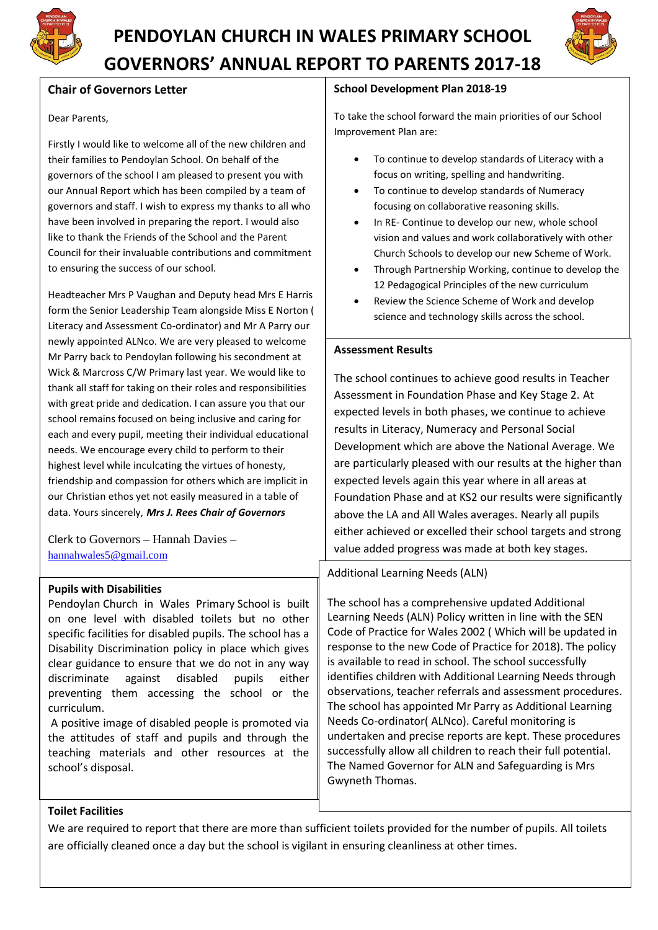

# **PENDOYLAN CHURCH IN WALES PRIMARY SCHOOL GOVERNORS' ANNUAL REPORT TO PARENTS 2017-18**



# **Chair of Governors Letter**

#### Dear Parents,

Firstly I would like to welcome all of the new children and their families to Pendoylan School. On behalf of the governors of the school I am pleased to present you with our Annual Report which has been compiled by a team of governors and staff. I wish to express my thanks to all who have been involved in preparing the report. I would also like to thank the Friends of the School and the Parent Council for their invaluable contributions and commitment to ensuring the success of our school.

Headteacher Mrs P Vaughan and Deputy head Mrs E Harris form the Senior Leadership Team alongside Miss E Norton ( Literacy and Assessment Co-ordinator) and Mr A Parry our newly appointed ALNco. We are very pleased to welcome Mr Parry back to Pendoylan following his secondment at Wick & Marcross C/W Primary last year. We would like to thank all staff for taking on their roles and responsibilities with great pride and dedication. I can assure you that our school remains focused on being inclusive and caring for each and every pupil, meeting their individual educational needs. We encourage every child to perform to their highest level while inculcating the virtues of honesty, friendship and compassion for others which are implicit in our Christian ethos yet not easily measured in a table of data. Yours sincerely, *Mrs J. Rees Chair of Governors*

Clerk to Governors – Hannah Davies – [hannahwales5@gmail.com](mailto:hannahwales5@gmail.com)

# **Pupils with Disabilities**

Pendoylan Church in Wales Primary School is built on one level with disabled toilets but no other specific facilities for disabled pupils. The school has a Disability Discrimination policy in place which gives clear guidance to ensure that we do not in any way discriminate against disabled pupils either preventing them accessing the school or the curriculum.

A positive image of disabled people is promoted via the attitudes of staff and pupils and through the teaching materials and other resources at the school's disposal.

#### **School Development Plan 2018-19**

To take the school forward the main priorities of our School Improvement Plan are:

- To continue to develop standards of Literacy with a focus on writing, spelling and handwriting.
- To continue to develop standards of Numeracy focusing on collaborative reasoning skills.
- In RE- Continue to develop our new, whole school vision and values and work collaboratively with other Church Schools to develop our new Scheme of Work.
- Through Partnership Working, continue to develop the 12 Pedagogical Principles of the new curriculum
- Review the Science Scheme of Work and develop science and technology skills across the school.

#### **Assessment Results**

The school continues to achieve good results in Teacher Assessment in Foundation Phase and Key Stage 2. At expected levels in both phases, we continue to achieve results in Literacy, Numeracy and Personal Social Development which are above the National Average. We are particularly pleased with our results at the higher than expected levels again this year where in all areas at Foundation Phase and at KS2 our results were significantly above the LA and All Wales averages. Nearly all pupils either achieved or excelled their school targets and strong value added progress was made at both key stages.

Additional Learning Needs (ALN)

The school has a comprehensive updated Additional Learning Needs (ALN) Policy written in line with the SEN Code of Practice for Wales 2002 ( Which will be updated in response to the new Code of Practice for 2018). The policy is available to read in school. The school successfully identifies children with Additional Learning Needs through observations, teacher referrals and assessment procedures. The school has appointed Mr Parry as Additional Learning Needs Co-ordinator( ALNco). Careful monitoring is undertaken and precise reports are kept. These procedures successfully allow all children to reach their full potential. The Named Governor for ALN and Safeguarding is Mrs Gwyneth Thomas.

#### **Toilet Facilities**

We are required to report that there are more than sufficient toilets provided for the number of pupils. All toilets are officially cleaned once a day but the school is vigilant in ensuring cleanliness at other times.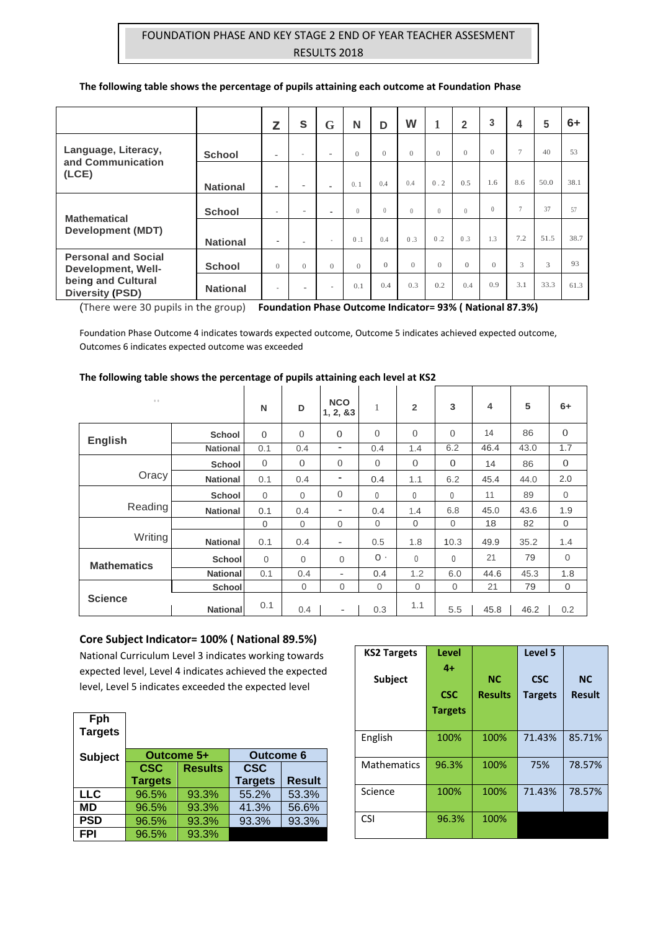# FOUNDATION PHASE AND KEY STAGE 2 END OF YEAR TEACHER ASSESMENT RESULTS 2018

|                                                                                                  |                 | z        | S                        | G                        | N                | D        | W         |          | $\overline{2}$ | 3        | 4      | 5    | $6+$ |
|--------------------------------------------------------------------------------------------------|-----------------|----------|--------------------------|--------------------------|------------------|----------|-----------|----------|----------------|----------|--------|------|------|
| Language, Literacy,<br>and Communication                                                         | <b>School</b>   | $\sim$   | $\sim$                   | $\overline{\phantom{a}}$ | $\theta$         | $\Omega$ | $\Omega$  | $\Omega$ | $\Omega$       | $\Omega$ | $\tau$ | 40   | 53   |
| (LCE)                                                                                            | <b>National</b> | ٠        | ۰                        | ٠                        | 0.1              | 0.4      | 0.4       | 0.2      | 0.5            | 1.6      | 8.6    | 50.0 | 38.1 |
| <b>Mathematical</b>                                                                              | <b>School</b>   | $\sim$   | $\overline{\phantom{a}}$ | $\overline{\phantom{a}}$ | $\left( \right)$ | $\theta$ | $\bigcap$ | $\Omega$ | $\Omega$       | $\theta$ | $\tau$ | 37   | 57   |
| <b>Development (MDT)</b>                                                                         | <b>National</b> | ٠        |                          | $\sim$                   | 0.1              | 0.4      | 0.3       | 0.2      | 0.3            | 1.3      | 7.2    | 51.5 | 38.7 |
| <b>Personal and Social</b><br>Development, Well-<br>being and Cultural<br><b>Diversity (PSD)</b> | <b>School</b>   | $\Omega$ | $\Omega$                 | $\Omega$                 | $\Omega$         | $\Omega$ | $\Omega$  | $\Omega$ | $\Omega$       | $\Omega$ | 3      | 3    | 93   |
|                                                                                                  | <b>National</b> | $\sim$   | ÷                        | $\overline{\phantom{a}}$ | 0.1              | 0.4      | 0.3       | 0.2      | 0.4            | 0.9      | 3.1    | 33.3 | 61.3 |

#### **The following table shows the percentage of pupils attaining each outcome at Foundation Phase**

(There were 30 pupils in the group) **Foundation Phase Outcome Indicator= 93% ( National 87.3%)**

Foundation Phase Outcome 4 indicates towards expected outcome, Outcome 5 indicates achieved expected outcome, Outcomes 6 indicates expected outcome was exceeded

#### **The following table shows the percentage of pupils attaining each level at KS2**

| 0.0                |                 | N            | D              | <b>NCO</b><br>1, 2, 83   | 1              | $\overline{2}$ | 3            | 4    | 5    | $6+$         |
|--------------------|-----------------|--------------|----------------|--------------------------|----------------|----------------|--------------|------|------|--------------|
| <b>English</b>     | <b>School</b>   | $\Omega$     | $\Omega$       | $\mathbf{0}$             | $\Omega$       | $\overline{0}$ | $\Omega$     | 14   | 86   | $\mathbf{O}$ |
|                    | <b>National</b> | 0.1          | 0.4            | $\overline{\phantom{a}}$ | 0.4            | 1.4            | 6.2          | 46.4 | 43.0 | 1.7          |
|                    | <b>School</b>   | $\mathbf{0}$ | $\Omega$       | $\mathbf{0}$             | $\mathbf{0}$   | $\mathbf{0}$   | $\mathbf{0}$ | 14   | 86   | $\mathbf{0}$ |
| Oracy              | <b>National</b> | 0.1          | 0.4            | $\blacksquare$           | 0.4            | 1.1            | 6.2          | 45.4 | 44.0 | 2.0          |
|                    | <b>School</b>   | $\mathbf{0}$ | 0              | $\mathbf{0}$             | 0              | $\mathbf 0$    | 0            | 11   | 89   | $\mathbf 0$  |
| Reading            | <b>National</b> | 0.1          | 0.4            | -                        | 0.4            | 1.4            | 6.8          | 45.0 | 43.6 | 1.9          |
|                    |                 | 0            | $\overline{0}$ | $\mathbf{0}$             | $\mathbf{0}$   | $\mathbf 0$    | $\mathbf{0}$ | 18   | 82   | $\mathbf 0$  |
| Writing            | <b>National</b> | 0.1          | 0.4            | $\overline{\phantom{a}}$ | 0.5            | 1.8            | 10.3         | 49.9 | 35.2 | 1.4          |
| <b>Mathematics</b> | <b>School</b>   | $\mathbf{0}$ | $\Omega$       | $\Omega$                 | $0 -$          | 0              | 0            | 21   | 79   | $\mathbf 0$  |
|                    | <b>National</b> | 0.1          | 0.4            | $\overline{\phantom{0}}$ | 0.4            | 1.2            | 6.0          | 44.6 | 45.3 | 1.8          |
|                    | <b>School</b>   |              | 0              | $\mathbf{0}$             | $\overline{0}$ | $\mathbf{0}$   | $\mathbf{0}$ | 21   | 79   | $\mathbf 0$  |
| <b>Science</b>     | <b>National</b> | 0.1          | 0.4            | $\overline{\phantom{0}}$ | 0.3            | 1.1            | 5.5          | 45.8 | 46.2 | 0.2          |

#### **Core Subject Indicator= 100% ( National 89.5%)**

National Curriculum Level 3 indicates working towards expected level, Level 4 indicates achieved the expected level, Level 5 indicates exceeded the expected level

| Fph<br><b>Targets</b> |                |                |                  |               |
|-----------------------|----------------|----------------|------------------|---------------|
| <b>Subject</b>        |                | Outcome 5+     | <b>Outcome 6</b> |               |
|                       | <b>CSC</b>     | <b>Results</b> | <b>CSC</b>       |               |
|                       | <b>Targets</b> |                | <b>Targets</b>   | <b>Result</b> |
| <b>LLC</b>            | 96.5%          | 93.3%          | 55.2%            | 53.3%         |
| МD                    | 96.5%          | 93.3%          | 41.3%            | 56.6%         |
| <b>PSD</b>            | 96.5%          | 93.3%          | 93.3%            | 93.3%         |
| <b>FPI</b>            | 96.5%          | 93.3%          |                  |               |
|                       |                |                |                  |               |

| <b>KS2 Targets</b><br><b>Subject</b> | Level<br>4+<br><b>CSC</b><br><b>Targets</b> | <b>NC</b><br><b>Results</b> | Level 5<br><b>CSC</b><br><b>Targets</b> | <b>NC</b><br><b>Result</b> |
|--------------------------------------|---------------------------------------------|-----------------------------|-----------------------------------------|----------------------------|
| English                              | 100%                                        | 100%                        | 71.43%                                  | 85.71%                     |
| <b>Mathematics</b>                   | 96.3%                                       | 100%                        | 75%                                     | 78.57%                     |
| Science                              | 100%                                        | 100%                        | 71.43%                                  | 78.57%                     |
| <b>CSI</b>                           | 96.3%                                       | 100%                        |                                         |                            |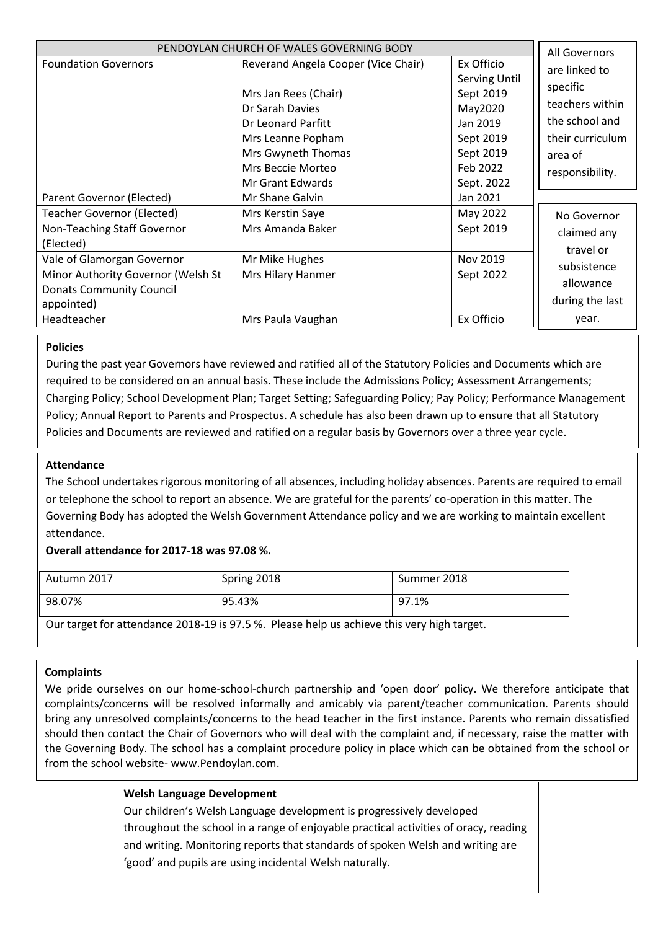| PENDOYLAN CHURCH OF WALES GOVERNING BODY                                            |                                                                                                        | All Governors                                                |                                                                  |
|-------------------------------------------------------------------------------------|--------------------------------------------------------------------------------------------------------|--------------------------------------------------------------|------------------------------------------------------------------|
| <b>Foundation Governors</b>                                                         | Reverand Angela Cooper (Vice Chair)<br>Mrs Jan Rees (Chair)<br>Dr Sarah Davies                         | Ex Officio<br><b>Serving Until</b><br>Sept 2019<br>May2020   | are linked to<br>specific<br>teachers within                     |
|                                                                                     | Dr Leonard Parfitt<br>Mrs Leanne Popham<br>Mrs Gwyneth Thomas<br>Mrs Beccie Morteo<br>Mr Grant Edwards | Jan 2019<br>Sept 2019<br>Sept 2019<br>Feb 2022<br>Sept. 2022 | the school and<br>their curriculum<br>area of<br>responsibility. |
| Parent Governor (Elected)                                                           | Mr Shane Galvin                                                                                        | Jan 2021                                                     |                                                                  |
| Teacher Governor (Elected)                                                          | Mrs Kerstin Saye                                                                                       | May 2022                                                     | No Governor                                                      |
| Non-Teaching Staff Governor<br>(Elected)                                            | Mrs Amanda Baker                                                                                       | Sept 2019                                                    | claimed any<br>travel or                                         |
| Vale of Glamorgan Governor                                                          | Mr Mike Hughes                                                                                         | Nov 2019                                                     | subsistence                                                      |
| Minor Authority Governor (Welsh St<br><b>Donats Community Council</b><br>appointed) | Mrs Hilary Hanmer                                                                                      | Sept 2022                                                    | allowance<br>during the last                                     |
| Headteacher                                                                         | Mrs Paula Vaughan                                                                                      | Ex Officio                                                   | year.                                                            |

# **Policies**

During the past year Governors have reviewed and ratified all of the Statutory Policies and Documents which are required to be considered on an annual basis. These include the Admissions Policy; Assessment Arrangements; Charging Policy; School Development Plan; Target Setting; Safeguarding Policy; Pay Policy; Performance Management Policy; Annual Report to Parents and Prospectus. A schedule has also been drawn up to ensure that all Statutory Policies and Documents are reviewed and ratified on a regular basis by Governors over a three year cycle.

# **Attendance**

The School undertakes rigorous monitoring of all absences, including holiday absences. Parents are required to email or telephone the school to report an absence. We are grateful for the parents' co-operation in this matter. The Governing Body has adopted the Welsh Government Attendance policy and we are working to maintain excellent attendance.

# **Overall attendance for 2017-18 was 97.08 %.**

| Autumn 2017 | Spring 2018 | Summer 2018 |
|-------------|-------------|-------------|
| 98.07%      | 95.43%      | 97.1%       |

Our target for attendance 2018-19 is 97.5 %. Please help us achieve this very high target.

# **Complaints**

We pride ourselves on our home-school-church partnership and 'open door' policy. We therefore anticipate that complaints/concerns will be resolved informally and amicably via parent/teacher communication. Parents should bring any unresolved complaints/concerns to the head teacher in the first instance. Parents who remain dissatisfied should then contact the Chair of Governors who will deal with the complaint and, if necessary, raise the matter with the Governing Body. The school has a complaint procedure policy in place which can be obtained from the school or from the school website- www.Pendoylan.com.

# **Welsh Language Development**

Our children's Welsh Language development is progressively developed throughout the school in a range of enjoyable practical activities of oracy, reading and writing. Monitoring reports that standards of spoken Welsh and writing are 'good' and pupils are using incidental Welsh naturally.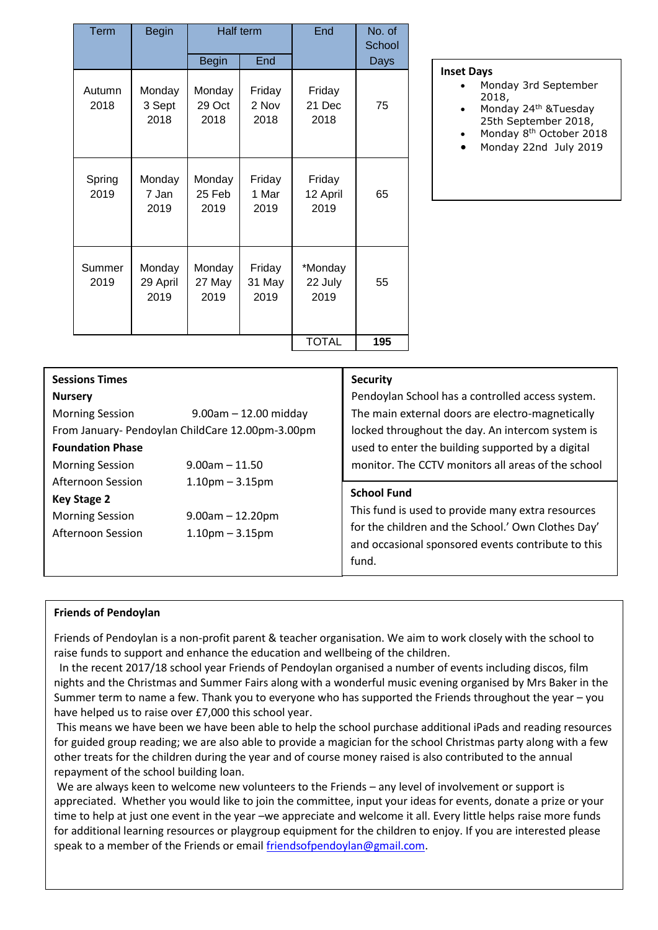| Term           | <b>Begin</b>               | Half term                |                          | End                        | No. of<br>School |
|----------------|----------------------------|--------------------------|--------------------------|----------------------------|------------------|
|                |                            | <b>Begin</b>             | End                      |                            | Days             |
| Autumn<br>2018 | Monday<br>3 Sept<br>2018   | Monday<br>29 Oct<br>2018 | Friday<br>2 Nov<br>2018  | Friday<br>21 Dec<br>2018   | 75               |
| Spring<br>2019 | Monday<br>7 Jan<br>2019    | Monday<br>25 Feb<br>2019 | Friday<br>1 Mar<br>2019  | Friday<br>12 April<br>2019 | 65               |
| Summer<br>2019 | Monday<br>29 April<br>2019 | Monday<br>27 May<br>2019 | Friday<br>31 May<br>2019 | *Monday<br>22 July<br>2019 | 55               |
|                |                            |                          |                          | <b>TOTAL</b>               | 195              |

#### **Inset Days**

- Monday 3rd September 2018,
- Monday 24th &Tuesday 25th September 2018,
- Monday 8<sup>th</sup> October 2018
- Monday 22nd July 2019

|                                                  | <b>Security</b>                                    |  |  |
|--------------------------------------------------|----------------------------------------------------|--|--|
|                                                  | Pendoylan School has a controlled access system.   |  |  |
| $9.00$ am $- 12.00$ midday                       | The main external doors are electro-magnetically   |  |  |
| From January- Pendoylan ChildCare 12.00pm-3.00pm | locked throughout the day. An intercom system is   |  |  |
|                                                  | used to enter the building supported by a digital  |  |  |
| $9.00$ am $-11.50$                               | monitor. The CCTV monitors all areas of the school |  |  |
| $1.10pm - 3.15pm$                                |                                                    |  |  |
|                                                  | <b>School Fund</b>                                 |  |  |
| $9.00$ am $- 12.20$ pm                           | This fund is used to provide many extra resources  |  |  |
| $1.10$ pm $-3.15$ pm                             | for the children and the School.' Own Clothes Day' |  |  |
|                                                  | and occasional sponsored events contribute to this |  |  |
|                                                  | fund.                                              |  |  |
|                                                  |                                                    |  |  |

# **Friends of Pendoylan**

Friends of Pendoylan is a non-profit parent & teacher organisation. We aim to work closely with the school to raise funds to support and enhance the education and wellbeing of the children.

 In the recent 2017/18 school year Friends of Pendoylan organised a number of events including discos, film nights and the Christmas and Summer Fairs along with a wonderful music evening organised by Mrs Baker in the Summer term to name a few. Thank you to everyone who has supported the Friends throughout the year – you have helped us to raise over £7,000 this school year.

This means we have been we have been able to help the school purchase additional iPads and reading resources for guided group reading; we are also able to provide a magician for the school Christmas party along with a few other treats for the children during the year and of course money raised is also contributed to the annual repayment of the school building loan.

We are always keen to welcome new volunteers to the Friends – any level of involvement or support is appreciated. Whether you would like to join the committee, input your ideas for events, donate a prize or your time to help at just one event in the year –we appreciate and welcome it all. Every little helps raise more funds for additional learning resources or playgroup equipment for the children to enjoy. If you are interested please speak to a member of the Friends or email [friendsofpendoylan@gmail.com.](mailto:friendsofpendoylan@gmail.com)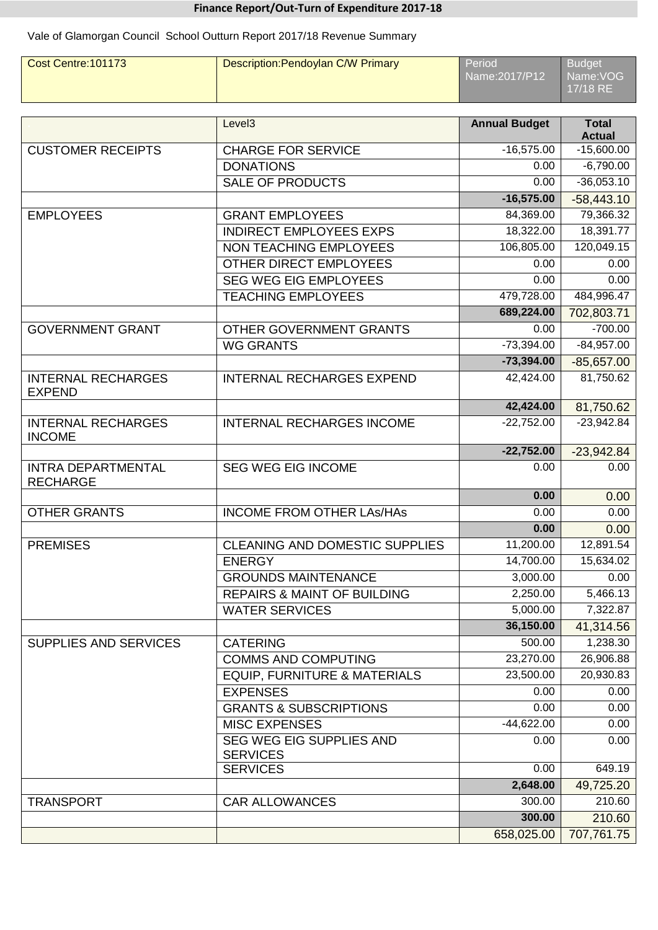# **Finance Report/Out-Turn of Expenditure 2017-18**

Vale of Glamorgan Council School Outturn Report 2017/18 Revenue Summary

| Cost Centre: 101173 | Description: Pendoylan C/W Primary | Period <sup>1</sup><br>Name:2017/P12 | Budget<br>Name:VOG<br>17/18 RE |
|---------------------|------------------------------------|--------------------------------------|--------------------------------|
|                     |                                    |                                      |                                |

|                                              | Level <sub>3</sub>                                 | <b>Annual Budget</b> | <b>Total</b><br><b>Actual</b> |
|----------------------------------------------|----------------------------------------------------|----------------------|-------------------------------|
| <b>CUSTOMER RECEIPTS</b>                     | <b>CHARGE FOR SERVICE</b>                          | $-16,575.00$         | $-15,600.00$                  |
|                                              | <b>DONATIONS</b>                                   | 0.00                 | $-6,790.00$                   |
|                                              | <b>SALE OF PRODUCTS</b>                            | 0.00                 | $-36,053.10$                  |
|                                              |                                                    | $-16,575.00$         | $-58,443.10$                  |
| <b>EMPLOYEES</b>                             | <b>GRANT EMPLOYEES</b>                             | 84,369.00            | 79,366.32                     |
|                                              | <b>INDIRECT EMPLOYEES EXPS</b>                     | 18,322.00            | 18,391.77                     |
|                                              | <b>NON TEACHING EMPLOYEES</b>                      | 106,805.00           | 120,049.15                    |
|                                              | OTHER DIRECT EMPLOYEES                             | 0.00                 | 0.00                          |
|                                              | <b>SEG WEG EIG EMPLOYEES</b>                       | 0.00                 | 0.00                          |
|                                              | <b>TEACHING EMPLOYEES</b>                          | 479,728.00           | 484,996.47                    |
|                                              |                                                    | 689,224.00           | 702,803.71                    |
| <b>GOVERNMENT GRANT</b>                      | OTHER GOVERNMENT GRANTS                            | 0.00                 | $-700.00$                     |
|                                              | <b>WG GRANTS</b>                                   | $-73,394.00$         | $-84,957.00$                  |
|                                              |                                                    | $-73,394.00$         | $-85,657.00$                  |
| <b>INTERNAL RECHARGES</b><br><b>EXPEND</b>   | <b>INTERNAL RECHARGES EXPEND</b>                   | 42,424.00            | 81,750.62                     |
|                                              |                                                    | 42,424.00            | 81,750.62                     |
| <b>INTERNAL RECHARGES</b><br><b>INCOME</b>   | <b>INTERNAL RECHARGES INCOME</b>                   | $-22,752.00$         | $-23,942.84$                  |
|                                              |                                                    | $-22,752.00$         | $-23,942.84$                  |
| <b>INTRA DEPARTMENTAL</b><br><b>RECHARGE</b> | <b>SEG WEG EIG INCOME</b>                          | 0.00                 | 0.00                          |
|                                              |                                                    | 0.00                 | 0.00                          |
| <b>OTHER GRANTS</b>                          | <b>INCOME FROM OTHER LAS/HAS</b>                   | 0.00                 | 0.00                          |
|                                              |                                                    | 0.00                 | 0.00                          |
| <b>PREMISES</b>                              | <b>CLEANING AND DOMESTIC SUPPLIES</b>              | 11,200.00            | 12,891.54                     |
|                                              | <b>ENERGY</b>                                      | 14,700.00            | 15,634.02                     |
|                                              | <b>GROUNDS MAINTENANCE</b>                         | 3,000.00             | 0.00                          |
|                                              | <b>REPAIRS &amp; MAINT OF BUILDING</b>             | 2,250.00             | 5,466.13                      |
|                                              | <b>WATER SERVICES</b>                              | 5,000.00             | 7,322.87                      |
|                                              |                                                    | 36,150.00            | 41,314.56                     |
| SUPPLIES AND SERVICES                        | <b>CATERING</b>                                    | 500.00               | 1,238.30                      |
|                                              | <b>COMMS AND COMPUTING</b>                         | 23,270.00            | 26,906.88                     |
|                                              | <b>EQUIP, FURNITURE &amp; MATERIALS</b>            | 23,500.00            | 20,930.83                     |
|                                              | <b>EXPENSES</b>                                    | 0.00                 | 0.00                          |
|                                              | <b>GRANTS &amp; SUBSCRIPTIONS</b>                  | 0.00                 | 0.00                          |
|                                              | <b>MISC EXPENSES</b>                               | $-44,622.00$         | 0.00                          |
|                                              | <b>SEG WEG EIG SUPPLIES AND</b><br><b>SERVICES</b> | 0.00                 | 0.00                          |
|                                              | <b>SERVICES</b>                                    | 0.00                 | 649.19                        |
|                                              |                                                    | 2,648.00             | 49,725.20                     |
| <b>TRANSPORT</b>                             | <b>CAR ALLOWANCES</b>                              | 300.00               | 210.60                        |
|                                              |                                                    | 300.00               | 210.60                        |
|                                              |                                                    | 658,025.00           | 707,761.75                    |